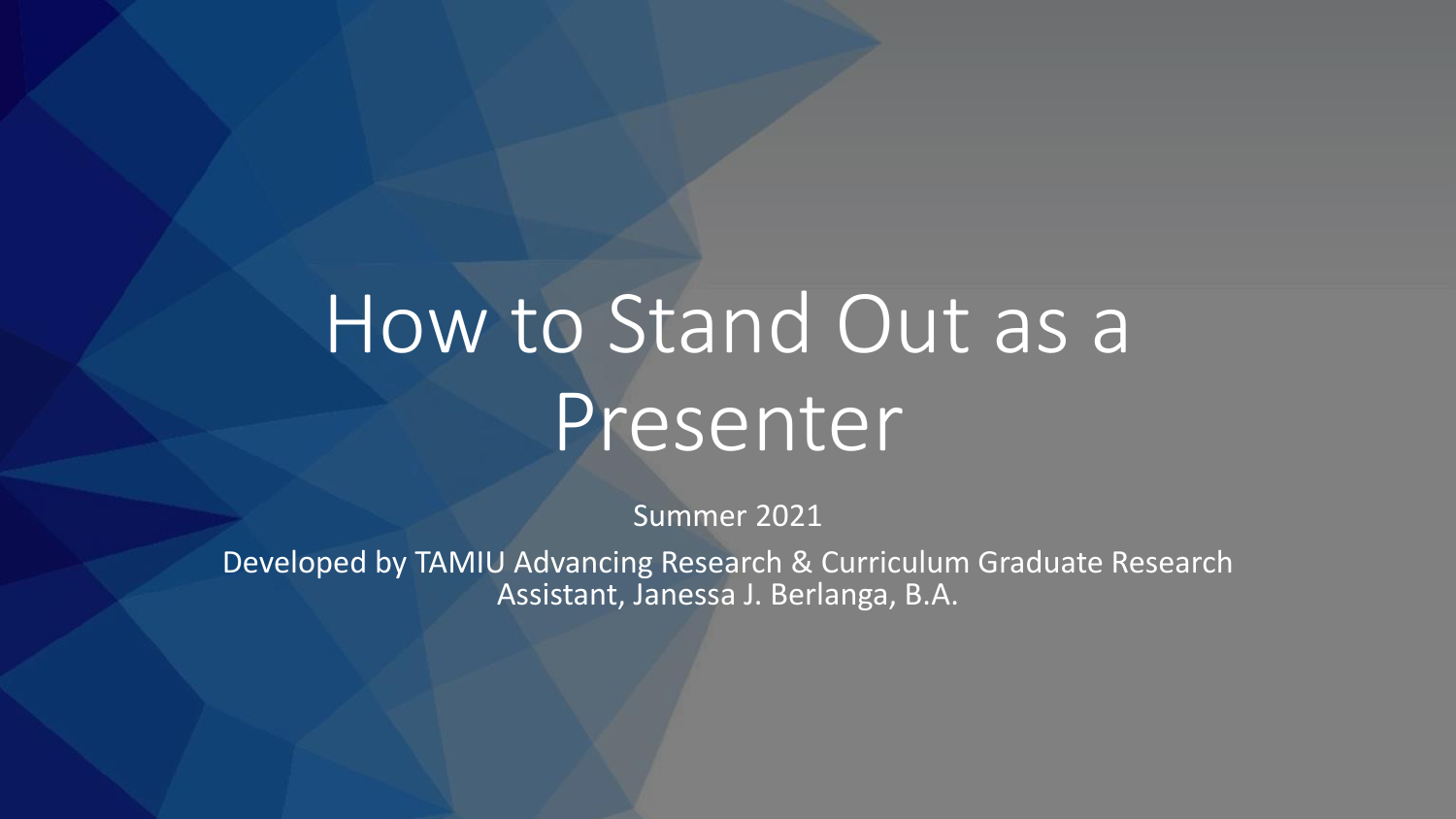# How to Stand Out as a Presenter

Summer 2021

Developed by TAMIU Advancing Research & Curriculum Graduate Research Assistant, Janessa J. Berlanga, B.A.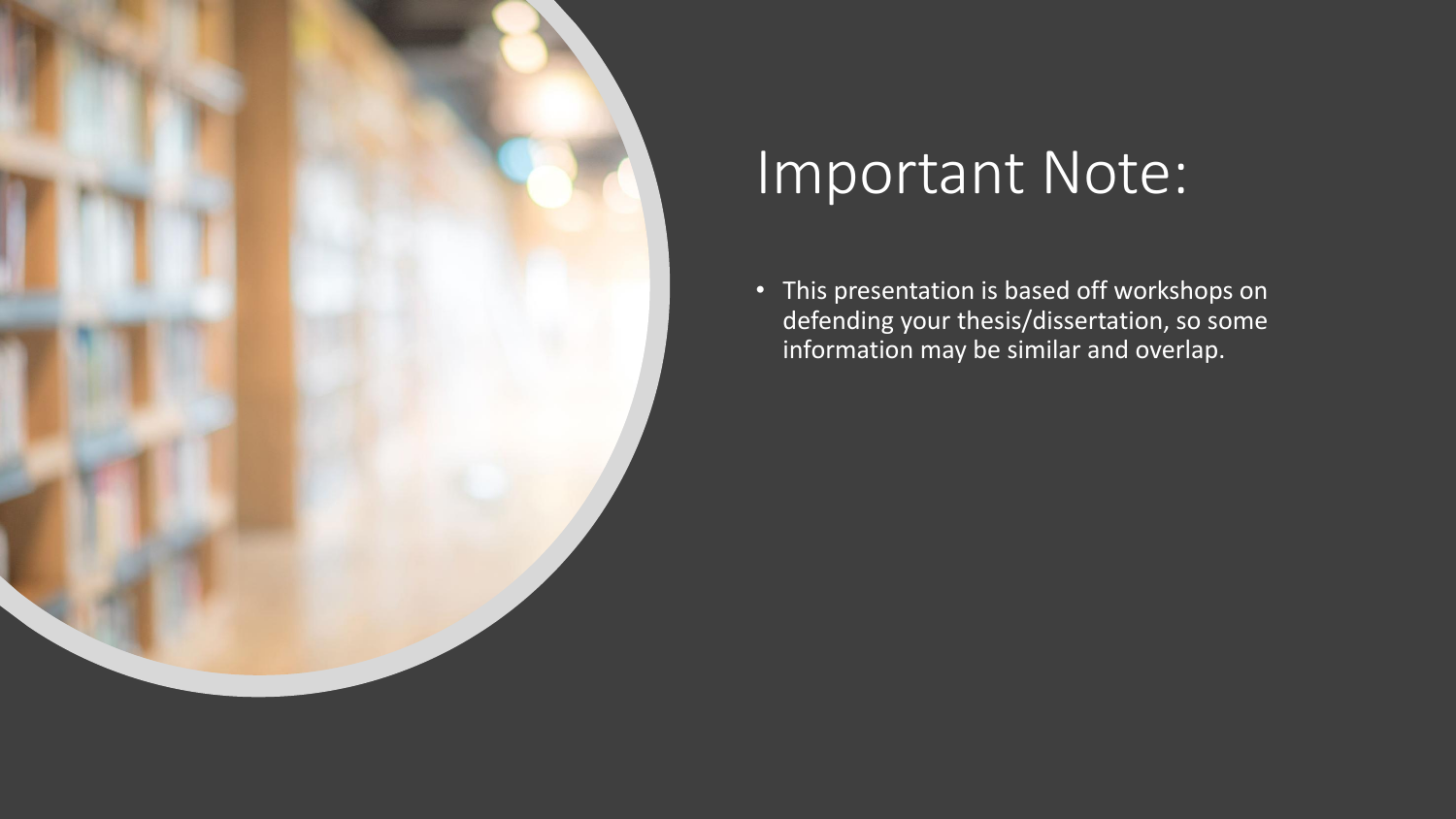

# Important Note:

• This presentation is based off workshops on defending your thesis/dissertation, so some information may be similar and overlap.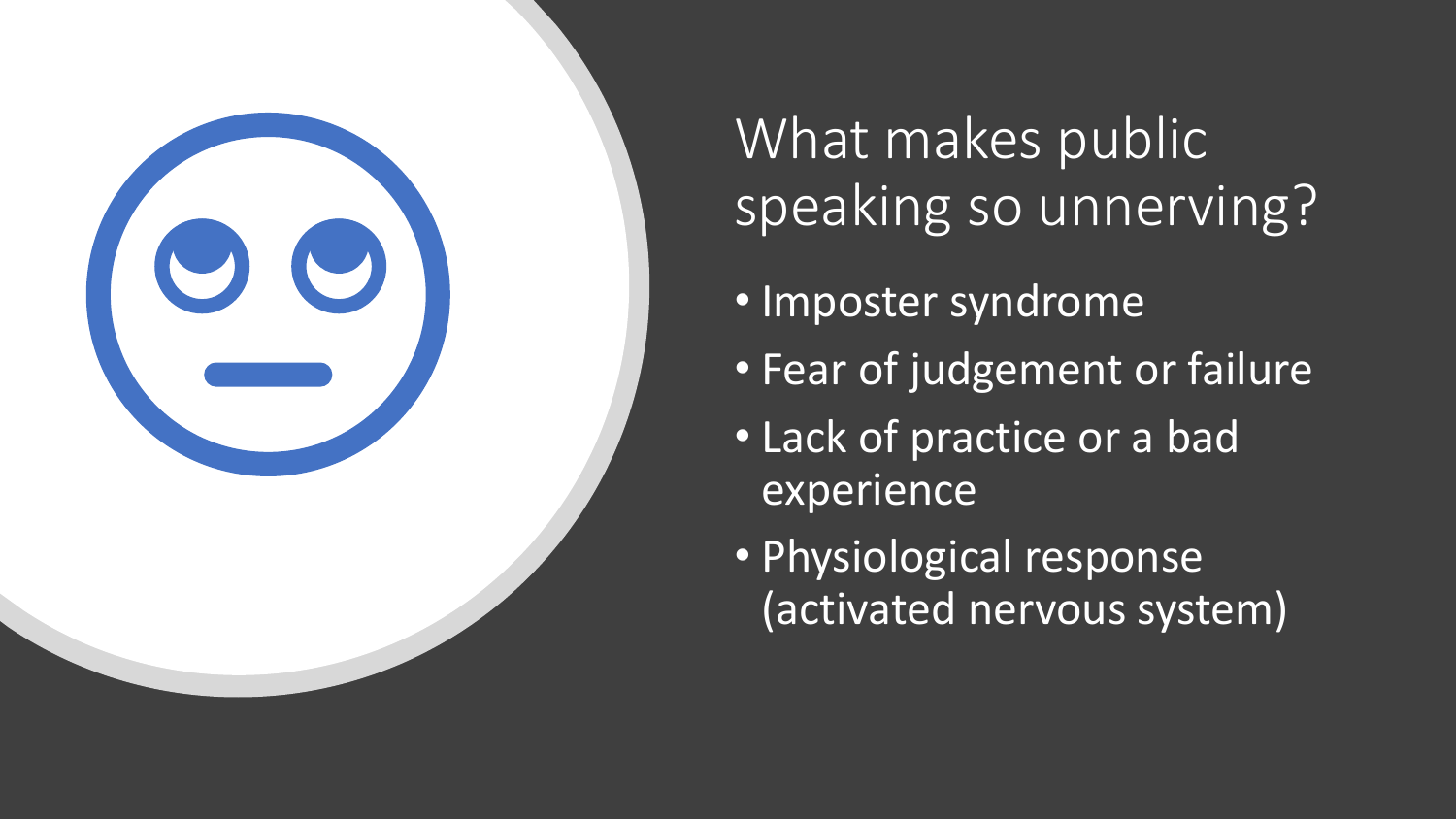

What makes public speaking so unnerving?

- Imposter syndrome
- Fear of judgement or failure
- Lack of practice or a bad experience
- Physiological response (activated nervous system)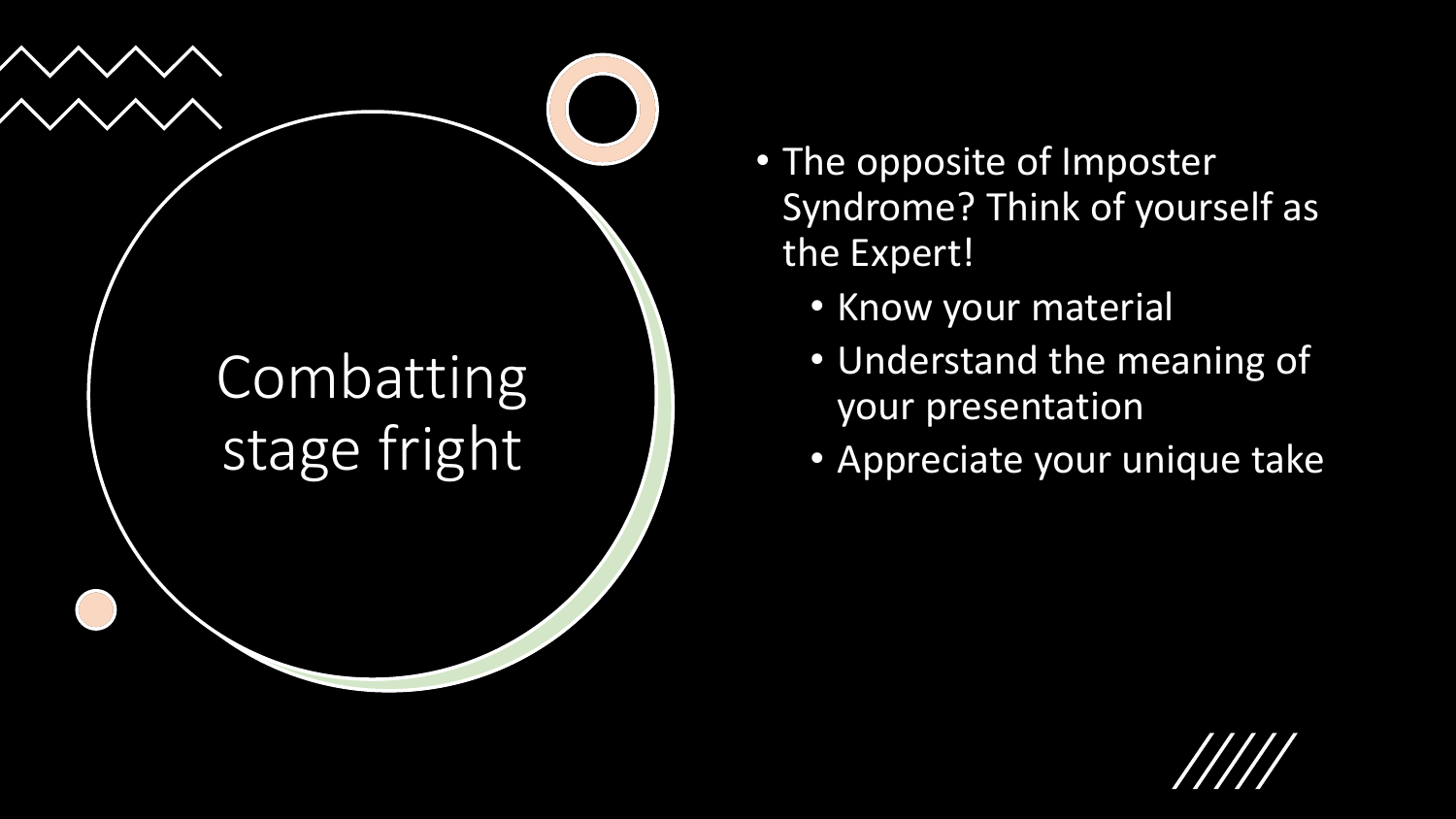

- The opposite of Imposter Syndrome? Think of yourself as the Expert!
	- Know your material
	- Understand the meaning of your presentation
	- Appreciate your unique take

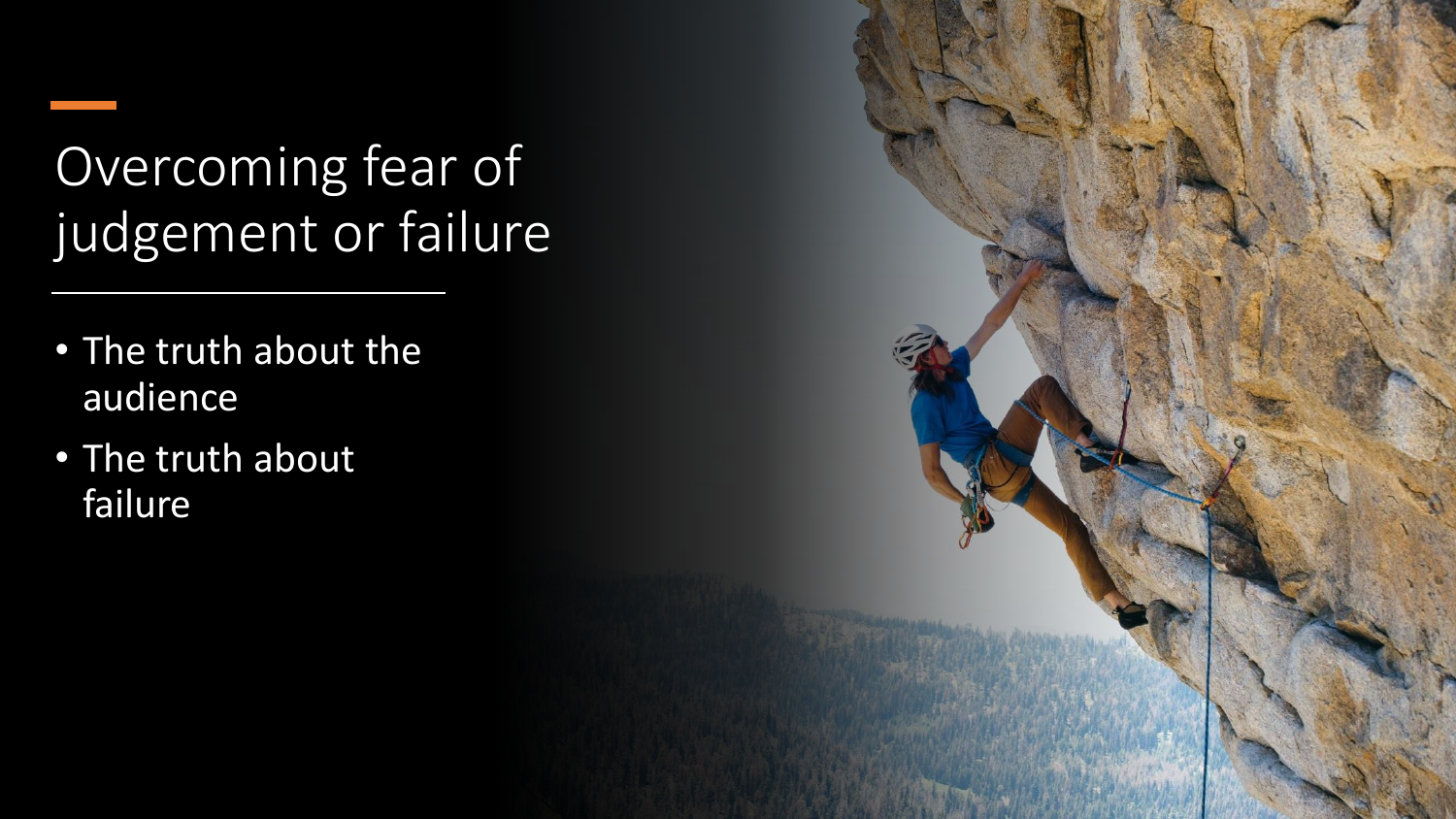Overcoming fear of judgement or failure

- The truth about the audience
- The truth about failure

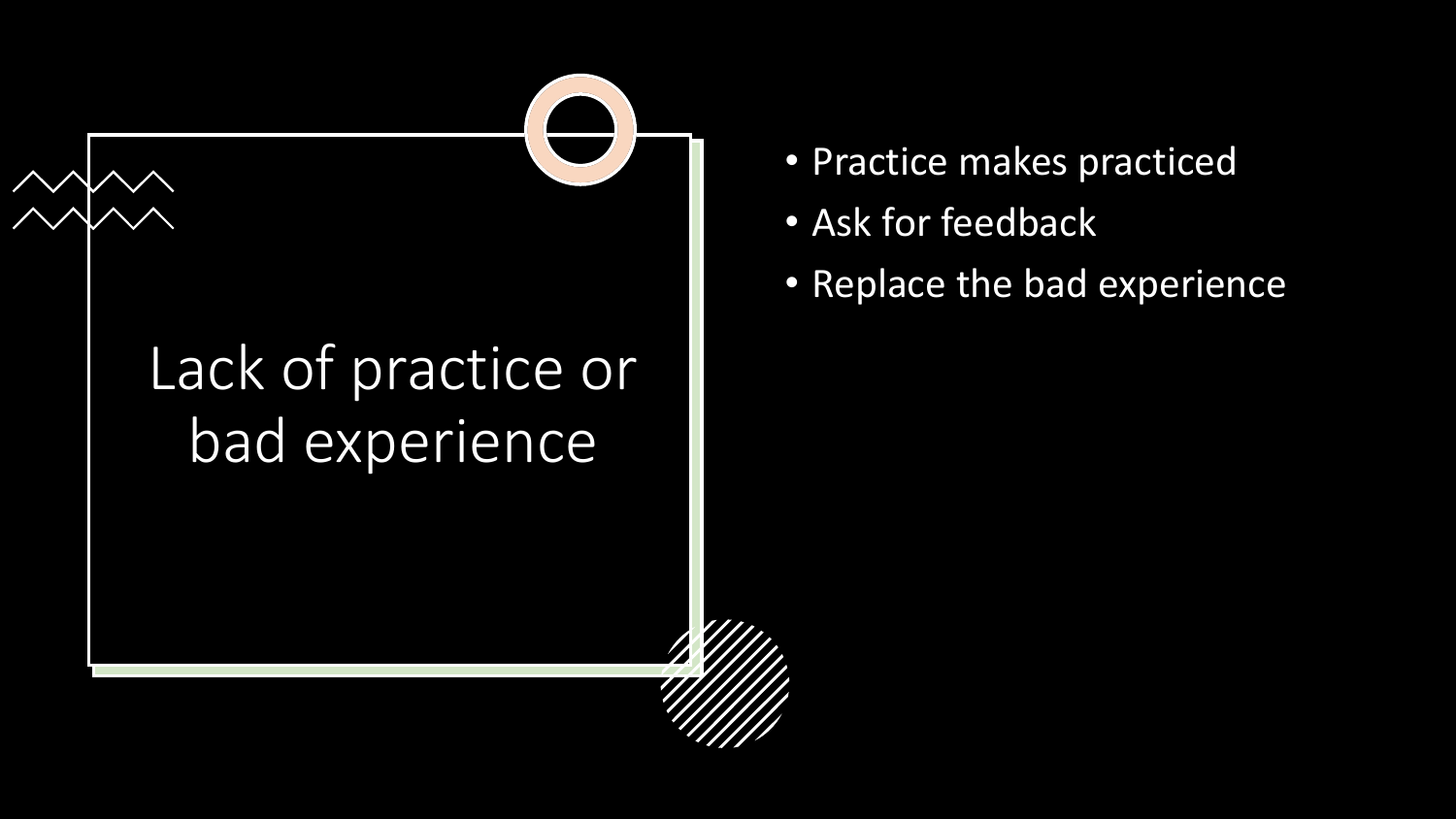# Lack of practice or bad experience

- Practice makes practiced
- Ask for feedback
- Replace the bad experience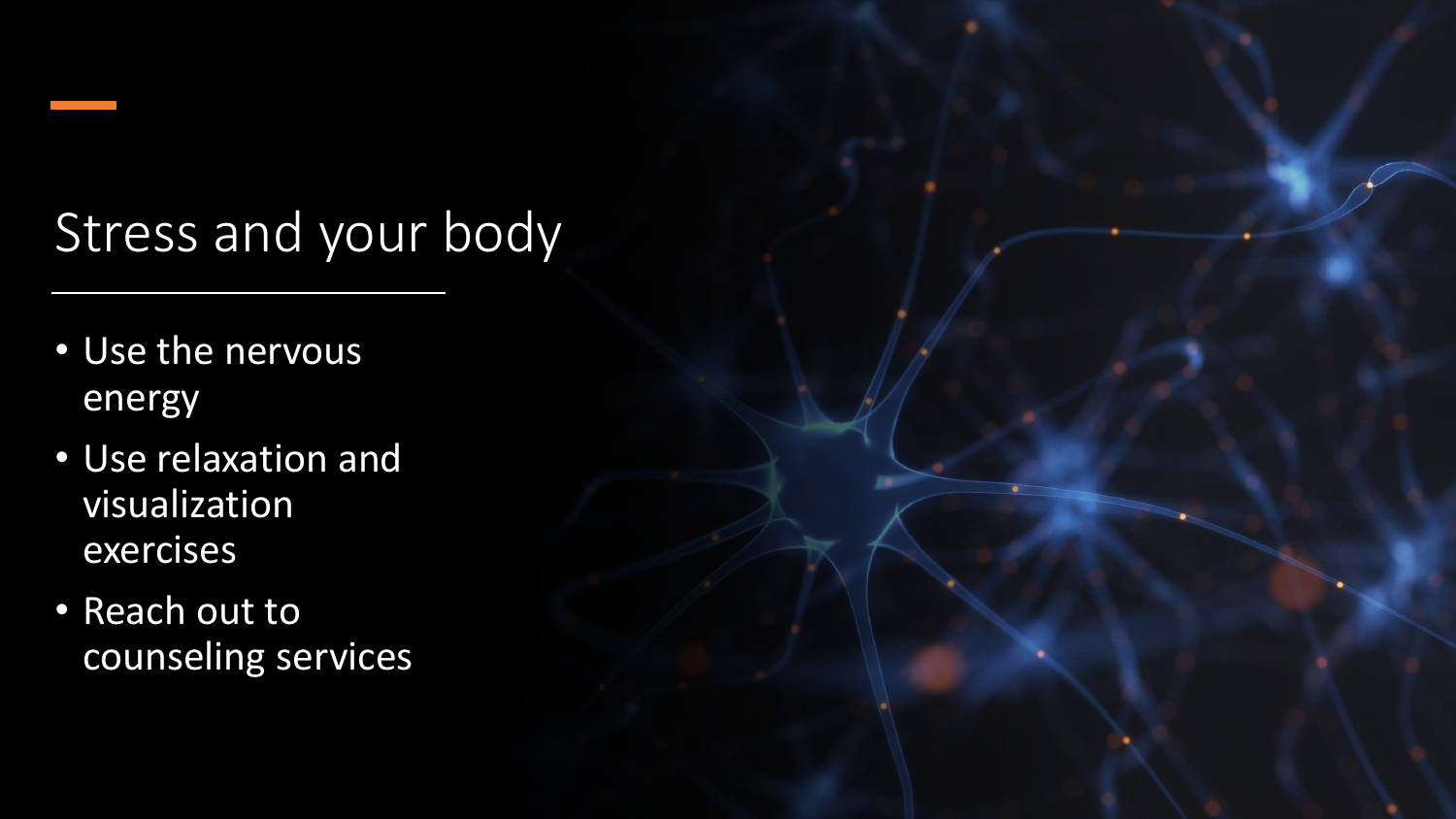# Stress and your body

- Use the nervous energy
- Use relaxation and visualization exercises
- Reach out to counseling services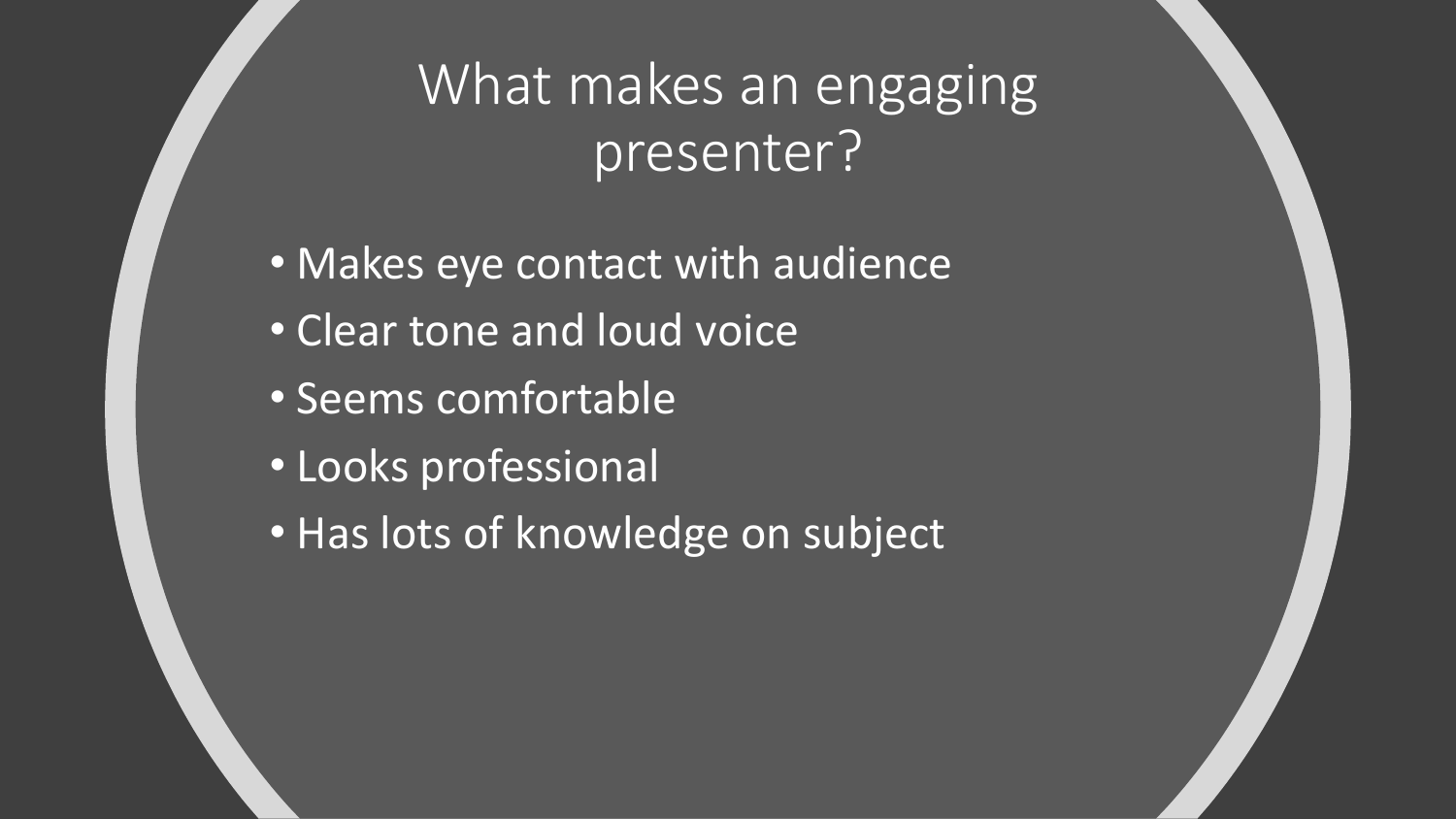What makes an engaging presenter?

- Makes eye contact with audience
- Clear tone and loud voice
- Seems comfortable
- Looks professional
- Has lots of knowledge on subject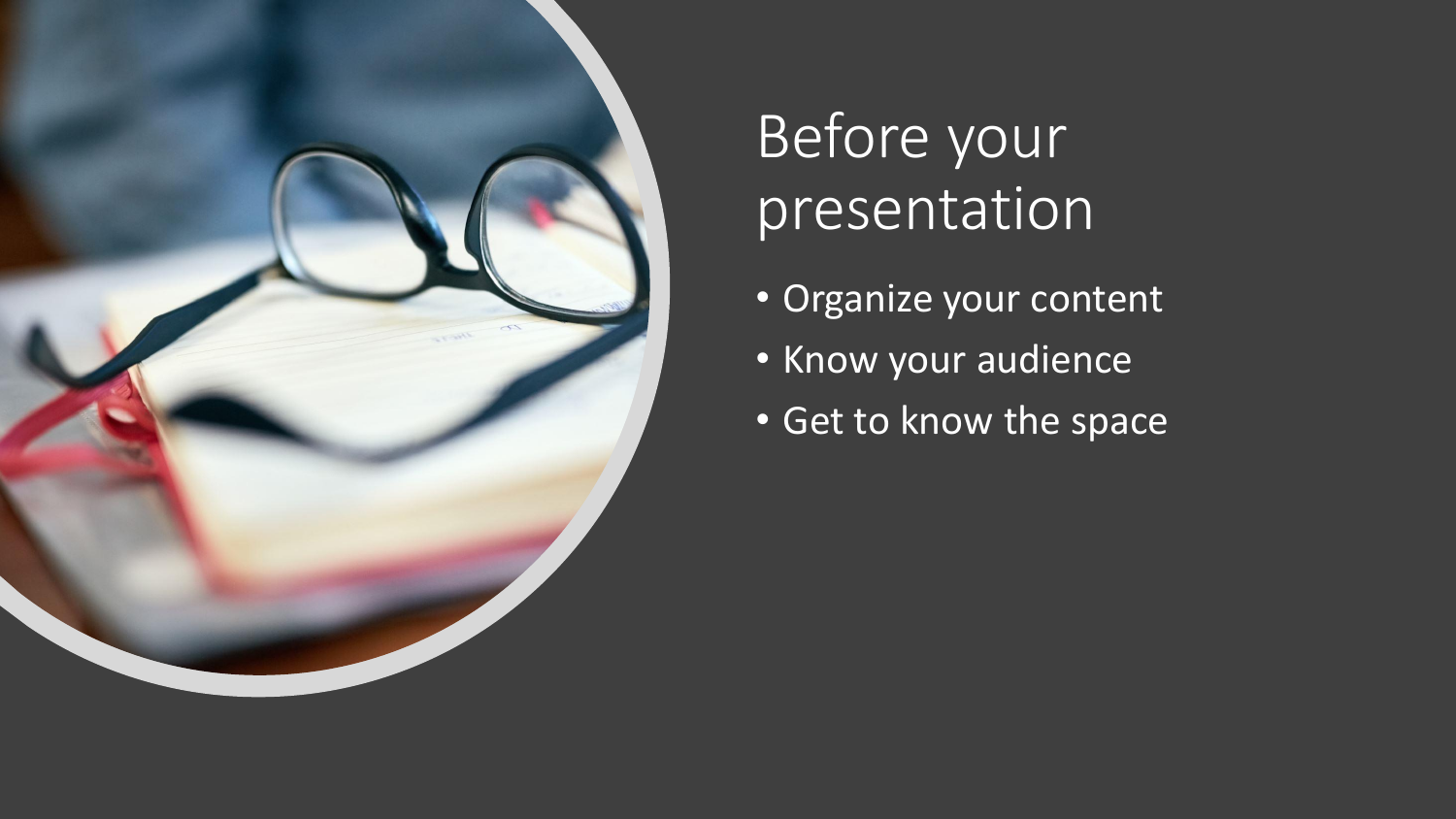

# Before your presentation

- Organize your content
- Know your audience
- **Get to know the space**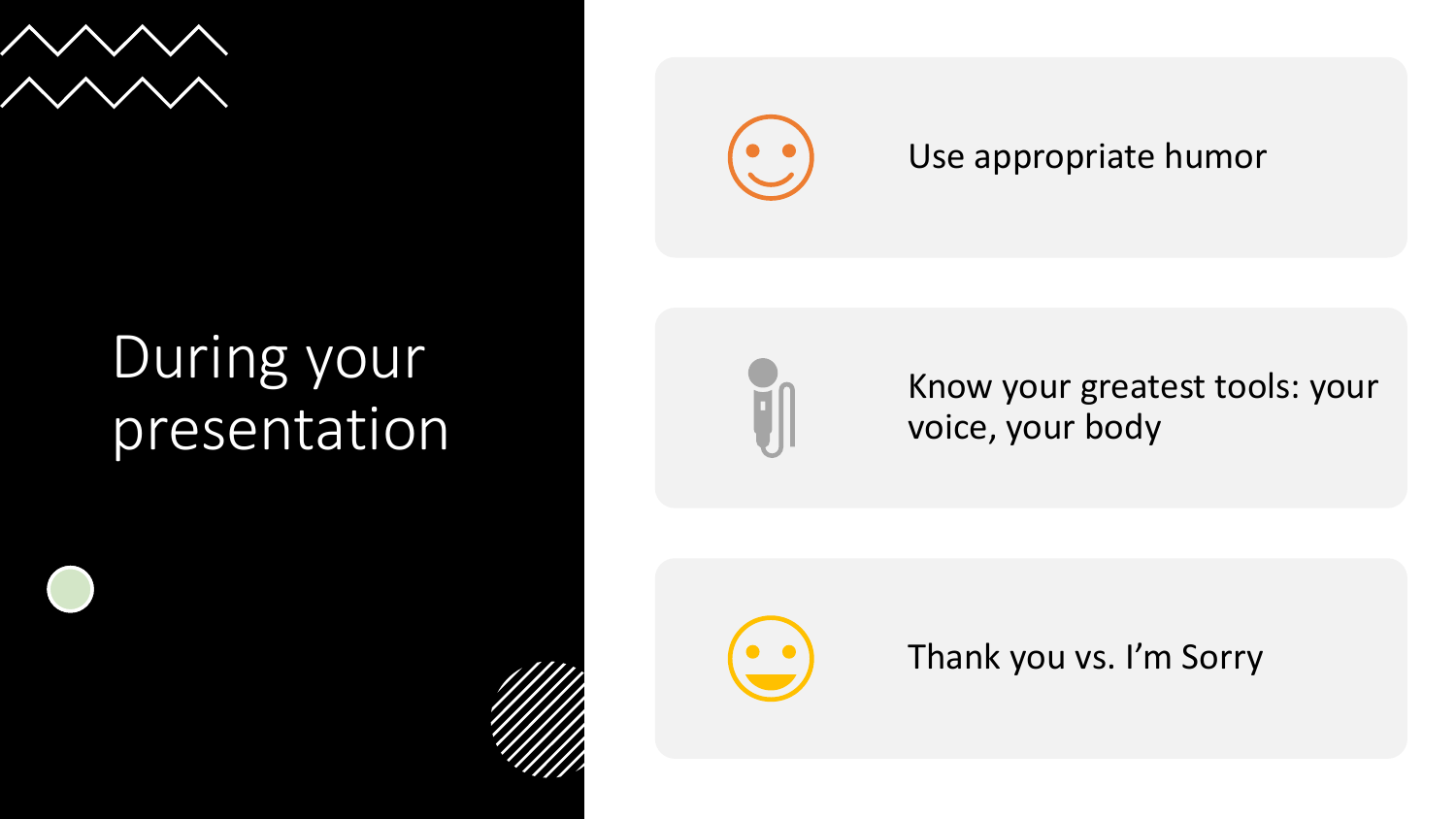

# During your presentation



### Use appropriate humor



Know your greatest tools: your voice, your body



Thank you vs. I'm Sorry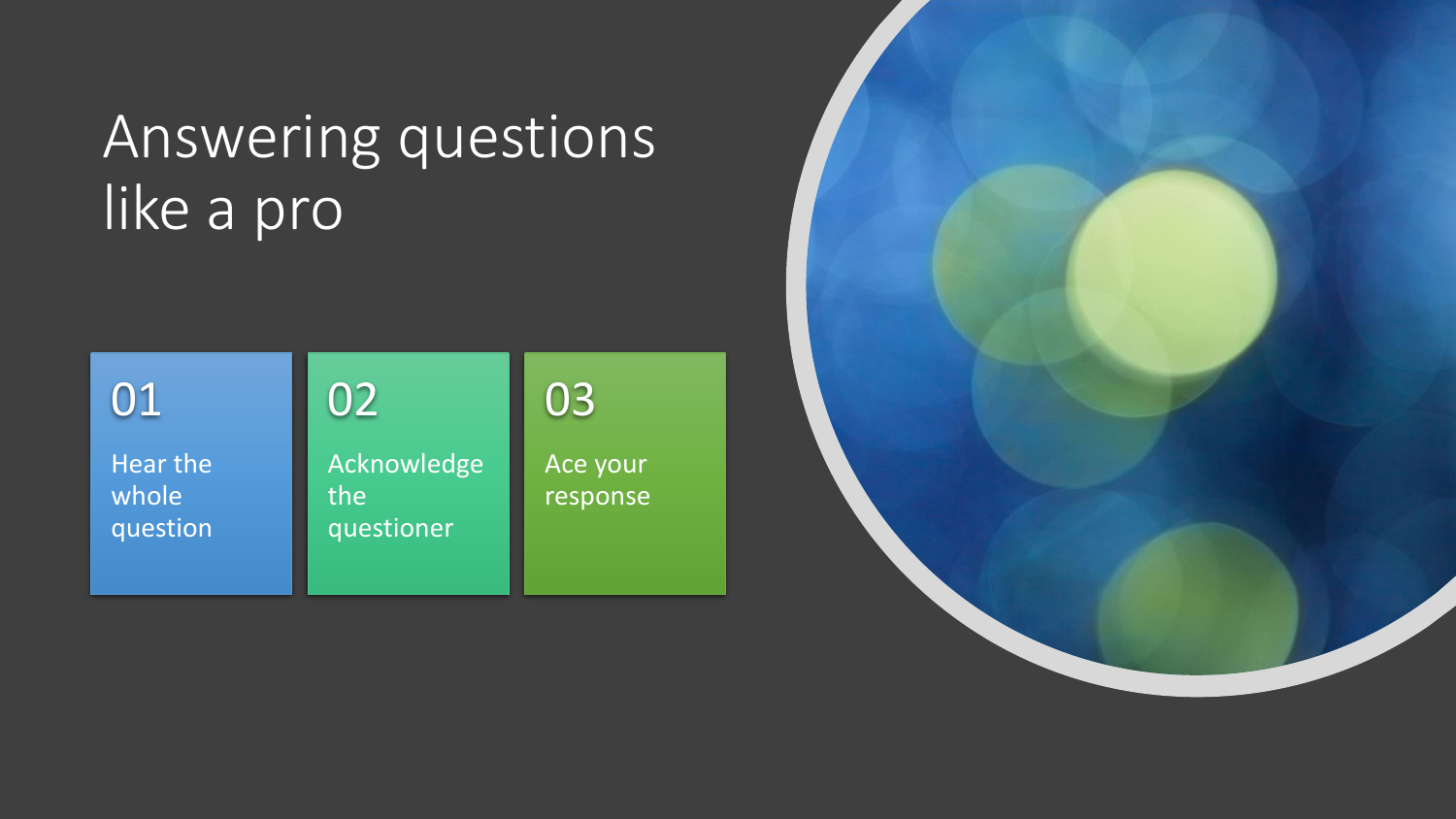# Answering questions like a pro

| 01                            | 02                               | 03                   |
|-------------------------------|----------------------------------|----------------------|
| Hear the<br>whole<br>question | Acknowledge<br>the<br>questioner | Ace your<br>response |

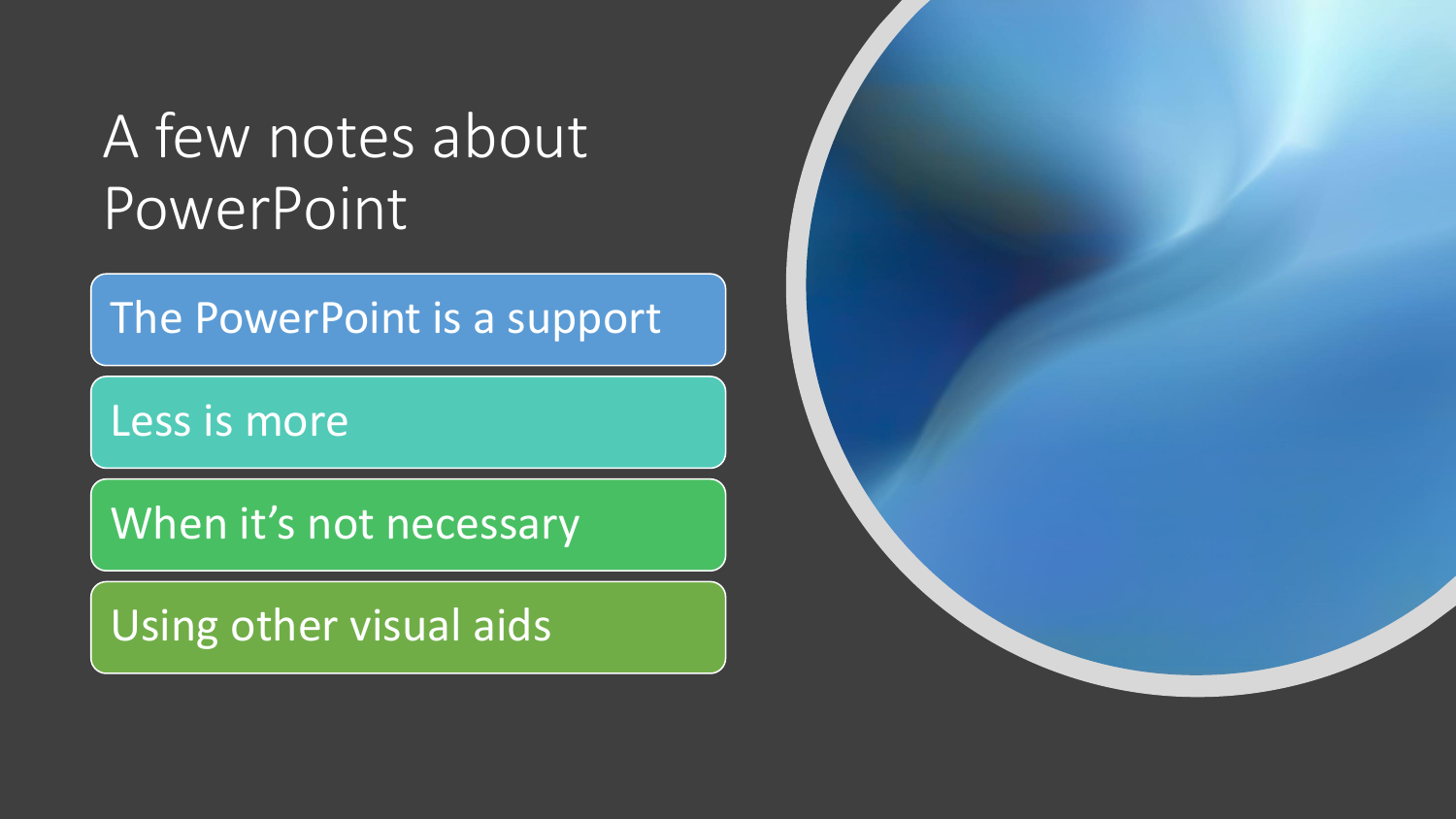# A few notes about PowerPoint

The PowerPoint is a support

Less is more

When it's not necessary

Using other visual aids

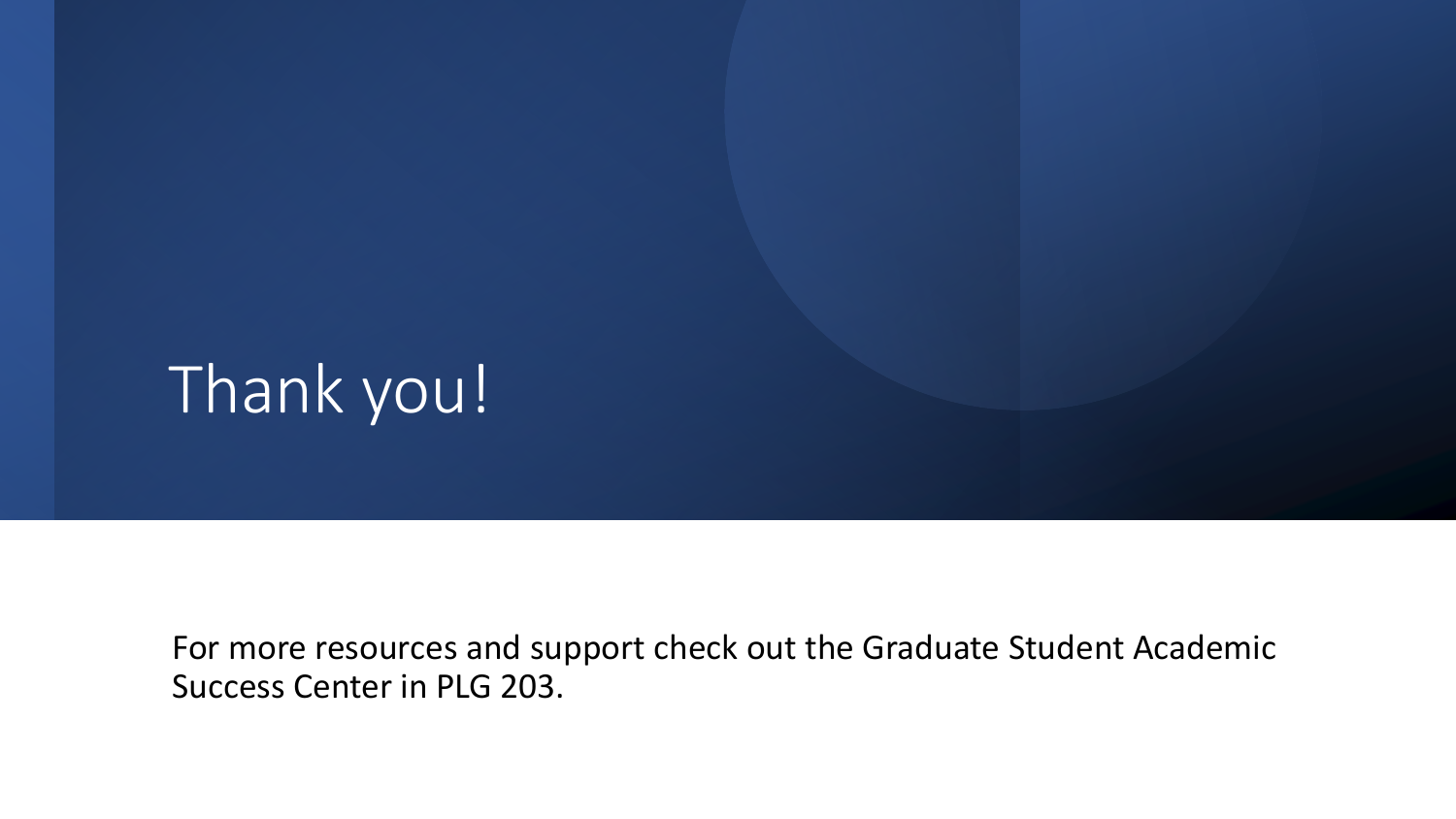# Thank you!

For more resources and support check out the Graduate Student Academic Success Center in PLG 203.